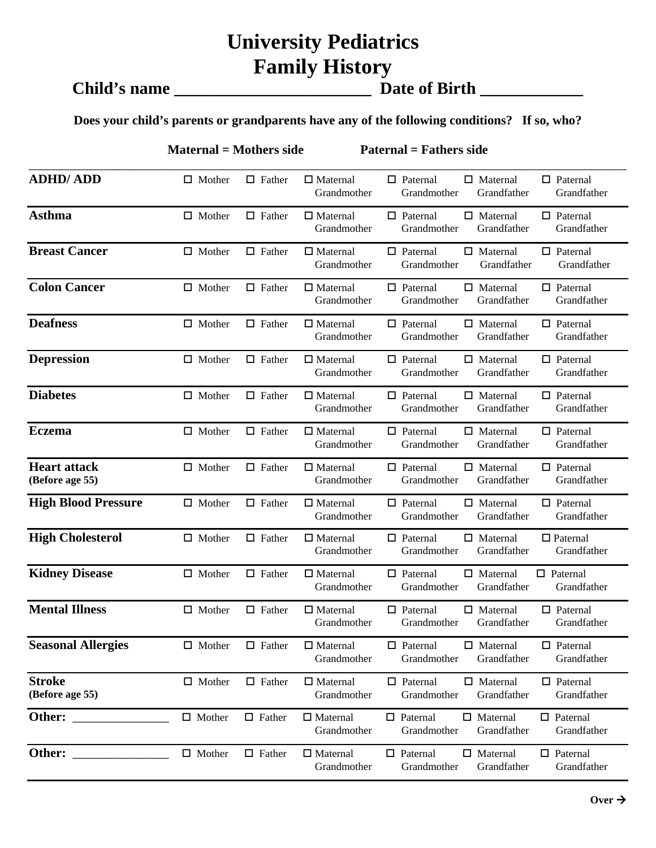### **University Pediatrics Family History**

# **Child's name \_\_\_\_\_\_\_\_\_\_\_\_\_\_\_\_\_\_\_\_\_\_\_ Date of Birth \_\_\_\_\_\_\_\_\_\_\_\_**

#### **Does your child's parents or grandparents have any of the following conditions? If so, who?**

**Maternal = Mothers side Paternal = Fathers side** 

| <b>ADHD/ADD</b>                        | $\Box$ Mother | $\Box$ Father | $\Box$ Maternal<br>Grandmother | $\Box$ Paternal<br>$\Box$ Maternal<br>$\Box$ Paternal<br>Grandmother<br>Grandfather<br>Grandfather |
|----------------------------------------|---------------|---------------|--------------------------------|----------------------------------------------------------------------------------------------------|
| <b>Asthma</b>                          | $\Box$ Mother | $\Box$ Father | $\Box$ Maternal<br>Grandmother | $\Box$ Paternal<br>$\Box$ Paternal<br>$\Box$ Maternal<br>Grandmother<br>Grandfather<br>Grandfather |
| <b>Breast Cancer</b>                   | $\Box$ Mother | $\Box$ Father | $\Box$ Maternal<br>Grandmother | $\Box$ Paternal<br>$\Box$ Paternal<br>$\Box$ Maternal<br>Grandmother<br>Grandfather<br>Grandfather |
| <b>Colon Cancer</b>                    | $\Box$ Mother | $\Box$ Father | $\Box$ Maternal<br>Grandmother | $\Box$ Maternal<br>$\Box$ Paternal<br>$\Box$ Paternal<br>Grandmother<br>Grandfather<br>Grandfather |
| <b>Deafness</b>                        | $\Box$ Mother | $\Box$ Father | $\Box$ Maternal<br>Grandmother | $\Box$ Paternal<br>$\Box$ Maternal<br>$\Box$ Paternal<br>Grandmother<br>Grandfather<br>Grandfather |
| <b>Depression</b>                      | $\Box$ Mother | $\Box$ Father | $\Box$ Maternal<br>Grandmother | $\Box$ Paternal<br>$\Box$ Maternal<br>$\Box$ Paternal<br>Grandmother<br>Grandfather<br>Grandfather |
| <b>Diabetes</b>                        | $\Box$ Mother | $\Box$ Father | $\Box$ Maternal<br>Grandmother | $\Box$ Paternal<br>$\Box$ Maternal<br>$\Box$ Paternal<br>Grandmother<br>Grandfather<br>Grandfather |
| <b>Eczema</b>                          | $\Box$ Mother | $\Box$ Father | $\Box$ Maternal<br>Grandmother | $\Box$ Paternal<br>$\Box$ Maternal<br>$\Box$ Paternal<br>Grandmother<br>Grandfather<br>Grandfather |
| <b>Heart attack</b><br>(Before age 55) | $\Box$ Mother | $\Box$ Father | $\Box$ Maternal<br>Grandmother | $\Box$ Paternal<br>$\Box$ Maternal<br>$\Box$ Paternal<br>Grandfather<br>Grandmother<br>Grandfather |
| <b>High Blood Pressure</b>             | $\Box$ Mother | $\Box$ Father | $\Box$ Maternal<br>Grandmother | $\Box$ Paternal<br>$\Box$ Maternal<br>$\Box$ Paternal<br>Grandmother<br>Grandfather<br>Grandfather |
| <b>High Cholesterol</b>                | $\Box$ Mother | $\Box$ Father | $\Box$ Maternal<br>Grandmother | $\Box$ Paternal<br>$\Box$ Maternal<br>$\Box$ Paternal<br>Grandfather<br>Grandmother<br>Grandfather |
| <b>Kidney Disease</b>                  | $\Box$ Mother | $\Box$ Father | $\Box$ Maternal<br>Grandmother | $\Box$ Paternal<br>$\Box$ Maternal<br>$\Box$ Paternal<br>Grandfather<br>Grandmother<br>Grandfather |
| <b>Mental Illness</b>                  | $\Box$ Mother | $\Box$ Father | $\Box$ Maternal<br>Grandmother | $\Box$ Maternal<br>$\Box$ Paternal<br>$\Box$ Paternal<br>Grandmother<br>Grandfather<br>Grandfather |
| <b>Seasonal Allergies</b>              | $\Box$ Mother | $\Box$ Father | $\Box$ Maternal<br>Grandmother | $\Box$ Paternal<br>$\Box$ Maternal<br>$\Box$ Paternal<br>Grandmother<br>Grandfather<br>Grandfather |
| <b>Stroke</b><br>(Before age 55)       | $\Box$ Mother | $\Box$ Father | $\Box$ Maternal<br>Grandmother | $\Box$ Maternal<br>$\Box$ Paternal<br>$\Box$ Paternal<br>Grandmother<br>Grandfather<br>Grandfather |
| Other:                                 | $\Box$ Mother | $\Box$ Father | $\Box$ Maternal<br>Grandmother | $\Box$ Maternal<br>$\Box$ Paternal<br>$\Box$ Paternal<br>Grandfather<br>Grandmother<br>Grandfather |
| Other:                                 | $\Box$ Mother | $\Box$ Father | $\Box$ Maternal<br>Grandmother | $\Box$ Paternal<br>$\Box$ Maternal<br>$\Box$ Paternal<br>Grandmother<br>Grandfather<br>Grandfather |